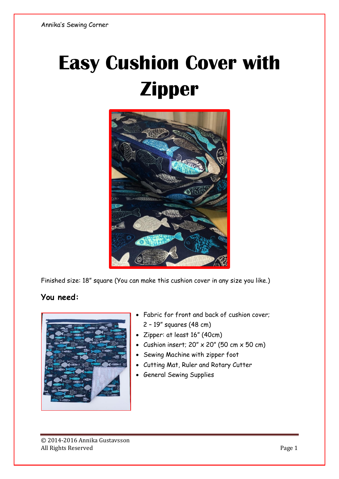## **Easy Cushion Cover with Zipper**



Finished size: 18" square (You can make this cushion cover in any size you like.)

## **You need:**



- Fabric for front and back of cushion cover; 2 – 19" squares (48 cm)
- Zipper: at least 16" (40cm)
- Cushion insert;  $20'' \times 20''$  (50 cm  $\times$  50 cm)
- Sewing Machine with zipper foot
- Cutting Mat, Ruler and Rotary Cutter
- General Sewing Supplies

© 2014-2016 Annika Gustavsson All Rights Reserved **Page 1**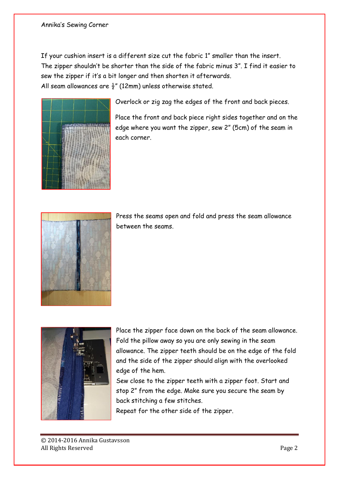If your cushion insert is a different size cut the fabric 1" smaller than the insert. The zipper shouldn't be shorter than the side of the fabric minus 3". I find it easier to sew the zipper if it's a bit longer and then shorten it afterwards.

All seam allowances are  $\frac{1}{2}$ " (12mm) unless otherwise stated.



Overlock or zig zag the edges of the front and back pieces.

Place the front and back piece right sides together and on the edge where you want the zipper, sew 2" (5cm) of the seam in each corner.



Press the seams open and fold and press the seam allowance between the seams.



Place the zipper face down on the back of the seam allowance. Fold the pillow away so you are only sewing in the seam allowance. The zipper teeth should be on the edge of the fold and the side of the zipper should align with the overlooked edge of the hem.

Sew close to the zipper teeth with a zipper foot. Start and stop 2" from the edge. Make sure you secure the seam by back stitching a few stitches.

Repeat for the other side of the zipper.